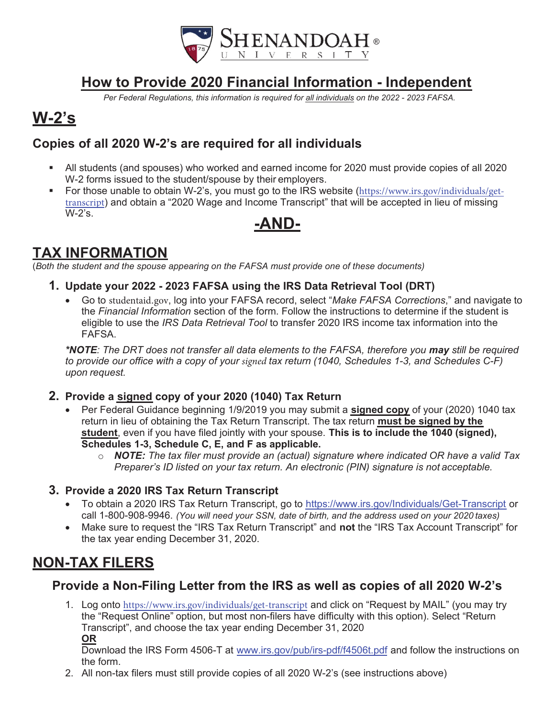

## How to Provide 20**20** Financial Information - Independent

Per Federal Regulations, this information is required for all individuals on the 202*2* - 202*3* FAFSA.

# W-2's

### Copies of all 20**20** W-2's are required for all individuals

- All students (and spouses) who worked and earned income for 2020 must provide copies of all 2020 W-2 forms issued to the student/spouse by their employers.
- For those unable to obtain W-2's, you must go to the IRS website (https://www.irs.gov/individuals/gettranscript) and obtain a "2020 Wage and Income Transcript" that will be accepted in lieu of missing W-2's.

### -AND-

### TAX INFORMATION

(Both the student and the spouse appearing on the FAFSA must provide one of these documents)

- **1.** Update your 202**2**  202**3** FAFSA using the IRS Data Retrieval Tool (DRT)
	- Go to studentaid.gov, log into your FAFSA record, select "Make FAFSA Corrections," and navigate to the Financial Information section of the form. Follow the instructions to determine if the student is eligible to use the *IRS Data Retrieval Tool* to transfer 2020 IRS income tax information into the FAFSA.

\*NOTE: The DRT does not transfer all data elements to the FAFSA, therefore you may still be required to provide our office with a copy of your signed tax return (1040, Schedules 1-3, and Schedules C-F) upon request.

- **2.** Provide a signed copy of your 20**20** (1040) Tax Return
	- Per Federal Guidance beginning 1/9/2019 you may submit a signed copy of your (2020) 1040 tax return in lieu of obtaining the Tax Return Transcript. The tax return must be signed by the student, even if you have filed jointly with your spouse. This is to include the 1040 (signed), Schedules 1-3, Schedule C, E, and F as applicable.
		- $\circ$  **NOTE:** The tax filer must provide an (actual) signature where indicated OR have a valid Tax Preparer's ID listed on your tax return. An electronic (PIN) signature is not acceptable.

#### **3.** Provide a 20**20** IRS Tax Return Transcript

- To obtain a 2020 IRS Tax Return Transcript, go to https://www.irs.gov/Individuals/Get-Transcript or call 1-800-908-9946. (You will need your SSN, date of birth, and the address used on your 20*20* taxes)
- Make sure to request the "IRS Tax Return Transcript" and not the "IRS Tax Account Transcript" for the tax year ending December 31, 2020.

## NON-TAX FILERS

### Provide a Non-Filing Letter from the IRS as well as copies of all 20**20** W-2's

1. Log onto https://www.irs.gov/individuals/get-transcript and click on "Request by MAIL" (you may try the "Request Online" option, but most non-filers have difficulty with this option). Select "Return Transcript", and choose the tax year ending December 31, 2020 OR

Download the IRS Form 4506-T at www.irs.gov/pub/irs-pdf/f4506t.pdf and follow the instructions on the form.

2. All non-tax filers must still provide copies of all 2020 W-2's (see instructions above)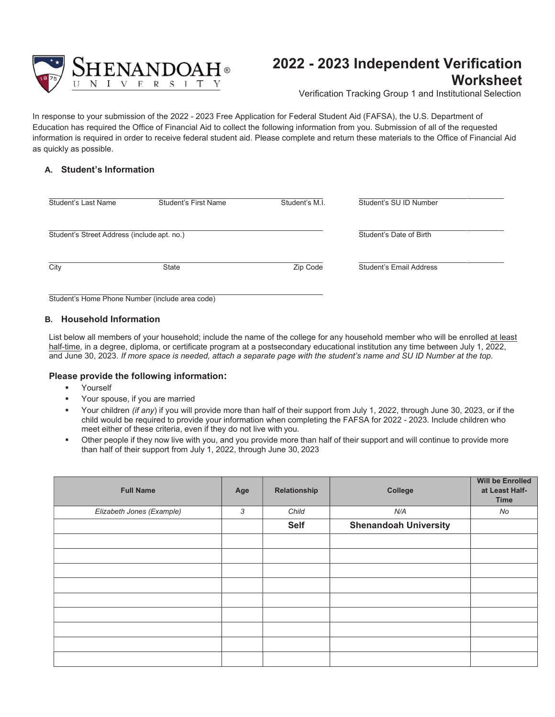

### 202**2** - 202**3** Independent Verification **Worksheet**

Verification Tracking Group 1 and Institutional Selection

In response to your submission of the 2022 - 2023 Free Application for Federal Student Aid (FAFSA), the U.S. Department of Education has required the Office of Financial Aid to collect the following information from you. Submission of all of the requested information is required in order to receive federal student aid. Please complete and return these materials to the Office of Financial Aid as quickly as possible.

#### A. Student's Information

| Student's Last Name                             | Student's First Name | Student's M.I. | Student's SU ID Number  |  |
|-------------------------------------------------|----------------------|----------------|-------------------------|--|
| Student's Street Address (include apt. no.)     |                      |                | Student's Date of Birth |  |
| City                                            | <b>State</b>         | Zip Code       | Student's Email Address |  |
| Student's Home Phone Number (include area code) |                      |                |                         |  |

#### B. Household Information

List below all members of your household; include the name of the college for any household member who will be enrolled at least half-time, in a degree, diploma, or certificate program at a postsecondary educational institution any time between July 1, 2022, and June 30, 2023. If more space is needed, attach a separate page with the student's name and SU ID Number at the top.

#### Please provide the following information:

- Yourself
- Your spouse, if you are married
- Your children (if any) if you will provide more than half of their support from July 1, 2022, through June 30, 2023, or if the child would be required to provide your information when completing the FAFSA for 2022 - 2023. Include children who meet either of these criteria, even if they do not live with you.
- Other people if they now live with you, and you provide more than half of their support and will continue to provide more than half of their support from July 1, 2022, through June 30, 2023

| <b>Full Name</b>          | Age | Relationship | College                      | <b>Will be Enrolled</b><br>at Least Half-<br><b>Time</b> |
|---------------------------|-----|--------------|------------------------------|----------------------------------------------------------|
| Elizabeth Jones (Example) | 3   | Child        | N/A                          | No                                                       |
|                           |     | <b>Self</b>  | <b>Shenandoah University</b> |                                                          |
|                           |     |              |                              |                                                          |
|                           |     |              |                              |                                                          |
|                           |     |              |                              |                                                          |
|                           |     |              |                              |                                                          |
|                           |     |              |                              |                                                          |
|                           |     |              |                              |                                                          |
|                           |     |              |                              |                                                          |
|                           |     |              |                              |                                                          |
|                           |     |              |                              |                                                          |